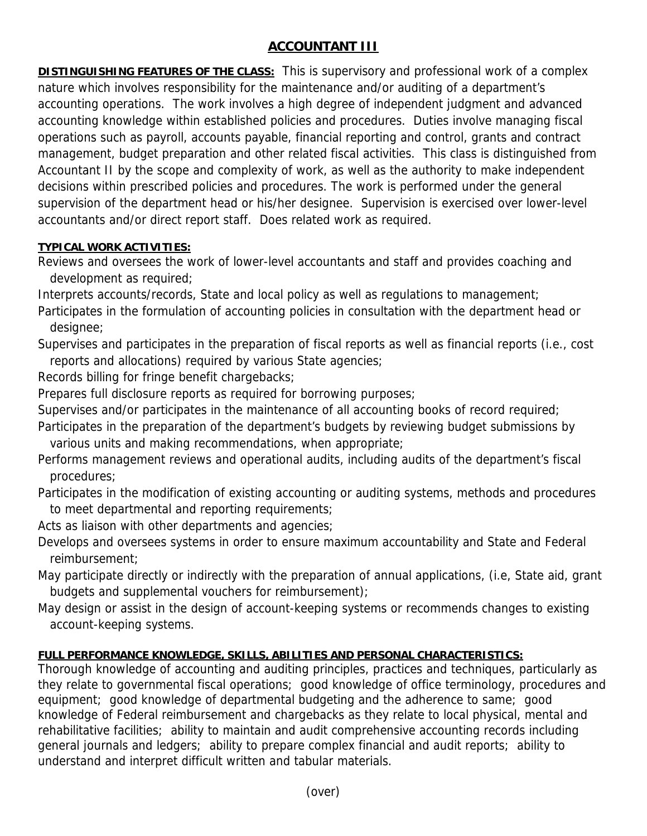## **ACCOUNTANT III**

**DISTINGUISHING FEATURES OF THE CLASS:** This is supervisory and professional work of a complex nature which involves responsibility for the maintenance and/or auditing of a department's accounting operations. The work involves a high degree of independent judgment and advanced accounting knowledge within established policies and procedures. Duties involve managing fiscal operations such as payroll, accounts payable, financial reporting and control, grants and contract management, budget preparation and other related fiscal activities. This class is distinguished from Accountant II by the scope and complexity of work, as well as the authority to make independent decisions within prescribed policies and procedures. The work is performed under the general supervision of the department head or his/her designee. Supervision is exercised over lower-level accountants and/or direct report staff. Does related work as required.

## **TYPICAL WORK ACTIVITIES:**

Reviews and oversees the work of lower-level accountants and staff and provides coaching and development as required;

Interprets accounts/records, State and local policy as well as regulations to management;

Participates in the formulation of accounting policies in consultation with the department head or designee;

Supervises and participates in the preparation of fiscal reports as well as financial reports (i.e., cost reports and allocations) required by various State agencies;

Records billing for fringe benefit chargebacks;

Prepares full disclosure reports as required for borrowing purposes;

Supervises and/or participates in the maintenance of all accounting books of record required;

Participates in the preparation of the department's budgets by reviewing budget submissions by various units and making recommendations, when appropriate;

Performs management reviews and operational audits, including audits of the department's fiscal procedures;

Participates in the modification of existing accounting or auditing systems, methods and procedures to meet departmental and reporting requirements;

- Acts as liaison with other departments and agencies;
- Develops and oversees systems in order to ensure maximum accountability and State and Federal reimbursement;
- May participate directly or indirectly with the preparation of annual applications, (i.e, State aid, grant budgets and supplemental vouchers for reimbursement);
- May design or assist in the design of account-keeping systems or recommends changes to existing account-keeping systems.

## **FULL PERFORMANCE KNOWLEDGE, SKILLS, ABILITIES AND PERSONAL CHARACTERISTICS:**

Thorough knowledge of accounting and auditing principles, practices and techniques, particularly as they relate to governmental fiscal operations; good knowledge of office terminology, procedures and equipment; good knowledge of departmental budgeting and the adherence to same; good knowledge of Federal reimbursement and chargebacks as they relate to local physical, mental and rehabilitative facilities; ability to maintain and audit comprehensive accounting records including general journals and ledgers; ability to prepare complex financial and audit reports; ability to understand and interpret difficult written and tabular materials.